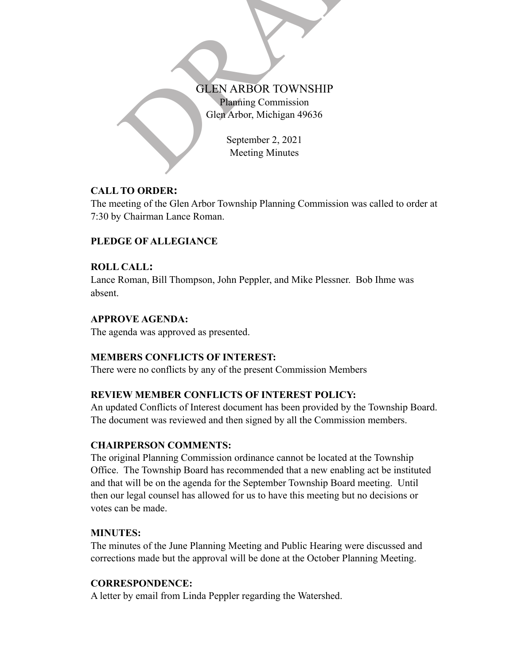# GLEN ARBOR TOWNSHIP<br>Planning Commission<br>Glen Arbor, Michigan 49636<br>September 2, 2021<br>Meeting Minutes Planning Commission Glen Arbor, Michigan 49636

September 2, 2021 Meeting Minutes

# **CALL TO ORDER:**

The meeting of the Glen Arbor Township Planning Commission was called to order at 7:30 by Chairman Lance Roman.

# **PLEDGE OF ALLEGIANCE**

# **ROLL CALL :**

Lance Roman, Bill Thompson, John Peppler, and Mike Plessner. Bob Ihme was absent.

# **APPROVE AGENDA:**

The agenda was approved as presented.

# **MEMBERS CONFLICTS OF INTEREST:**

There were no conflicts by any of the present Commission Members

# **REVIEW MEMBER CONFLICTS OF INTEREST POLICY:**

An updated Conflicts of Interest document has been provided by the Township Board. The document was reviewed and then signed by all the Commission members.

# **CHAIRPERSON COMMENTS:**

The original Planning Commission ordinance cannot be located at the Township Office. The Township Board has recommended that a new enabling act be instituted and that will be on the agenda for the September Township Board meeting. Until then our legal counsel has allowed for us to have this meeting but no decisions or votes can be made.

# **MINUTES:**

The minutes of the June Planning Meeting and Public Hearing were discussed and corrections made but the approval will be done at the October Planning Meeting.

# **CORRESPONDENCE:**

A letter by email from Linda Peppler regarding the Watershed.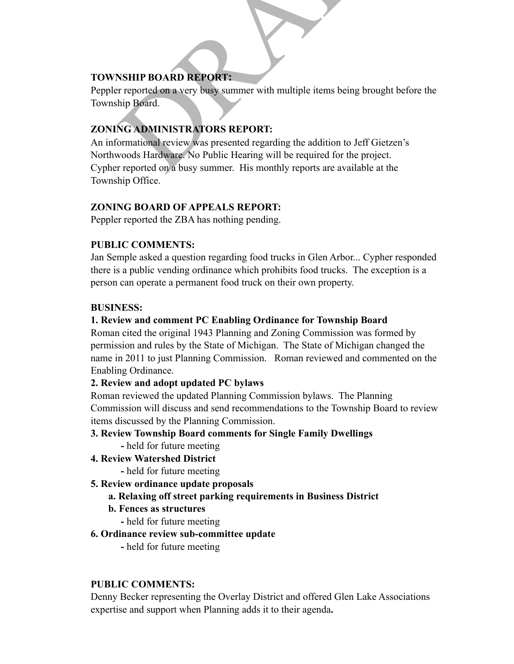# **TOWNSHIP BOARD REPORT:**

Peppler reported on a very busy summer with multiple items being brought before the Township Board.

# **ZONING ADMINISTRATORS REPORT:**

**SHIP BOARD REPORT:**<br>
External a very busy summer with multiple items being brought bet<br>
hip Board.<br>
NG ADMINISTRATORS REPORT:<br>
Somational review was presented regarding the addition to Jeff Gietzen's<br>
Noods Hardware. No P An informational review was presented regarding the addition to Jeff Gietzen's Northwoods Hardware. No Public Hearing will be required for the project. Cypher reported on a busy summer. His monthly reports are available at the Township Office.

# **ZONING BOARD OF APPEALS REPORT:**

Peppler reported the ZBA has nothing pending.

# **PUBLIC COMMENTS:**

Jan Semple asked a question regarding food trucks in Glen Arbor... Cypher responded there is a public vending ordinance which prohibits food trucks. The exception is a person can operate a permanent food truck on their own property.

#### **BUSINESS:**

# **1. Review and comment PC Enabling Ordinance for Township Board**

Roman cited the original 1943 Planning and Zoning Commission was formed by permission and rules by the State of Michigan. The State of Michigan changed the name in 2011 to just Planning Commission. Roman reviewed and commented on the Enabling Ordinance.

# **2. Review and adopt updated PC bylaws**

Roman reviewed the updated Planning Commission bylaws. The Planning Commission will discuss and send recommendations to the Township Board to review items discussed by the Planning Commission.

# **3. Review Township Board comments for Single Family Dwellings**

- held for future meeting
- **4. Review Watershed District** 
	- held for future meeting
- **5. Review ordinance update proposals**
	- **a. Relaxing off street parking requirements in Business District**
	- **b. Fences as structures**
		- held for future meeting

# **6. Ordinance review sub-committee update**

**-** held for future meeting

# **PUBLIC COMMENTS:**

Denny Becker representing the Overlay District and offered Glen Lake Associations expertise and support when Planning adds it to their agenda**.**